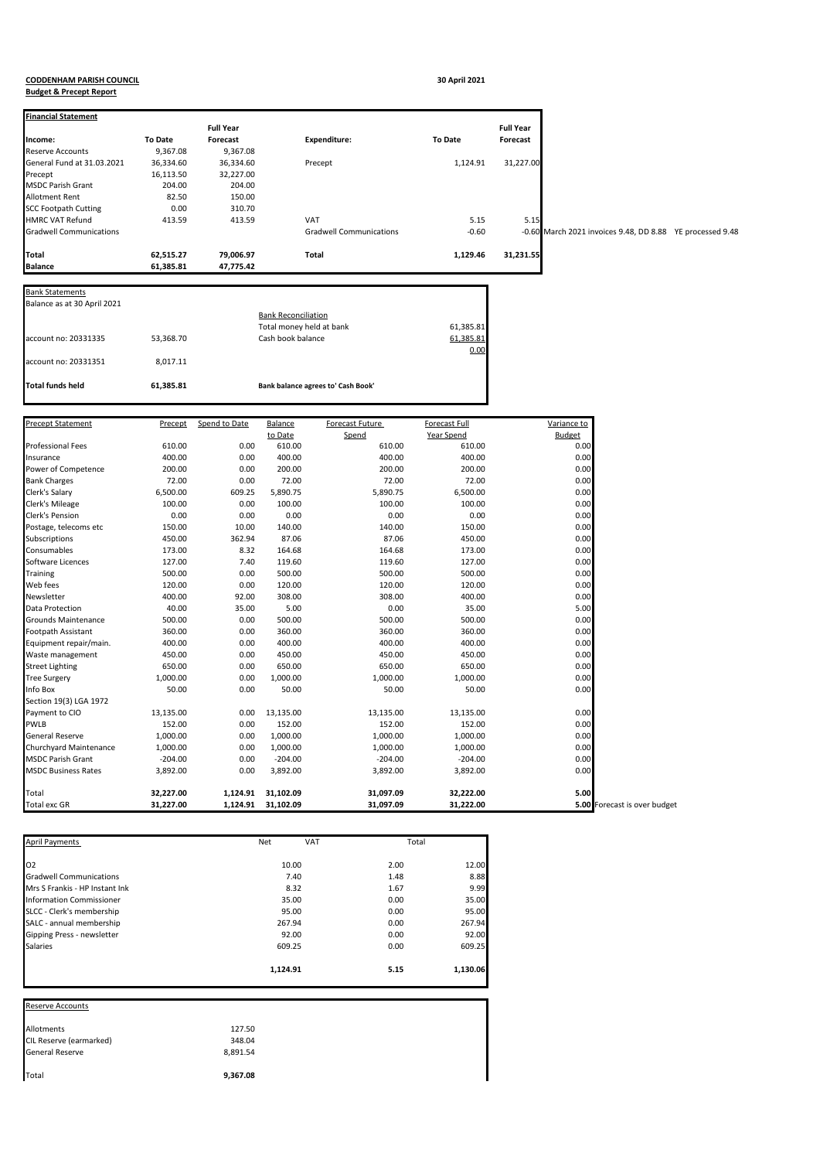## **CODDENHAM PARISH COUNCIL 30 April 2021**

## **Budget & Precept Report**

| Financial Statement            |                        | <b>Full Year</b>     |                            |                                    |                        | <b>Full Year</b> |                                                           |  |
|--------------------------------|------------------------|----------------------|----------------------------|------------------------------------|------------------------|------------------|-----------------------------------------------------------|--|
| ncome:                         | <b>To Date</b>         | <b>Forecast</b>      |                            | <b>Expenditure:</b>                | <b>To Date</b>         | Forecast         |                                                           |  |
| Reserve Accounts               | 9,367.08               | 9,367.08             |                            |                                    |                        |                  |                                                           |  |
| General Fund at 31.03.2021     | 36,334.60              | 36,334.60            |                            | Precept                            | 1,124.91               | 31,227.00        |                                                           |  |
| Precept                        | 16,113.50              | 32,227.00            |                            |                                    |                        |                  |                                                           |  |
| MSDC Parish Grant              | 204.00                 | 204.00               |                            |                                    |                        |                  |                                                           |  |
| Allotment Rent                 | 82.50                  | 150.00               |                            |                                    |                        |                  |                                                           |  |
| <b>SCC Footpath Cutting</b>    | 0.00                   | 310.70               |                            |                                    |                        |                  |                                                           |  |
| <b>HMRC VAT Refund</b>         | 413.59                 | 413.59               |                            | <b>VAT</b>                         | 5.15                   | 5.15             |                                                           |  |
| <b>Gradwell Communications</b> |                        |                      |                            | Gradwell Communications            | $-0.60$                |                  | -0.60 March 2021 invoices 9.48, DD 8.88 YE processed 9.48 |  |
|                                |                        |                      |                            |                                    |                        |                  |                                                           |  |
| Total                          | 62,515.27              | 79,006.97            |                            | Total                              | 1,129.46               | 31,231.55        |                                                           |  |
| <b>Balance</b>                 | 61,385.81              | 47,775.42            |                            |                                    |                        |                  |                                                           |  |
| Bank Statements                |                        |                      |                            |                                    |                        |                  |                                                           |  |
| Balance as at 30 April 2021    |                        |                      |                            |                                    |                        |                  |                                                           |  |
|                                |                        |                      | <b>Bank Reconciliation</b> |                                    |                        |                  |                                                           |  |
|                                |                        |                      | Total money held at bank   |                                    | 61,385.81              |                  |                                                           |  |
| account no: 20331335           | 53,368.70              |                      | Cash book balance          |                                    | 61,385.81              |                  |                                                           |  |
|                                |                        |                      |                            |                                    | 0.00                   |                  |                                                           |  |
| account no: 20331351           | 8,017.11               |                      |                            |                                    |                        |                  |                                                           |  |
|                                |                        |                      |                            |                                    |                        |                  |                                                           |  |
| Total funds held               | 61,385.81              |                      |                            | Bank balance agrees to' Cash Book' |                        |                  |                                                           |  |
|                                |                        |                      |                            |                                    |                        |                  |                                                           |  |
|                                |                        |                      |                            |                                    |                        |                  |                                                           |  |
| <b>Precept Statement</b>       | Precept                | Spend to Date        | Balance                    | <b>Forecast Future</b>             | <b>Forecast Full</b>   |                  | Variance to                                               |  |
|                                |                        |                      | to Date                    | Spend                              | Year Spend             |                  | <b>Budget</b>                                             |  |
| Professional Fees              | 610.00                 | 0.00                 | 610.00                     | 610.00                             | 610.00                 |                  | 0.00                                                      |  |
| Insurance                      | 400.00                 | 0.00                 | 400.00                     | 400.00                             | 400.00                 |                  | 0.00                                                      |  |
| Power of Competence            | 200.00                 | 0.00                 | 200.00                     | 200.00                             | 200.00                 |                  | 0.00                                                      |  |
| <b>Bank Charges</b>            | 72.00                  | 0.00                 | 72.00                      | 72.00                              | 72.00                  |                  | 0.00                                                      |  |
| Clerk's Salary                 | 6,500.00               | 609.25               | 5,890.75                   | 5,890.75                           | 6,500.00               |                  | 0.00                                                      |  |
| Clerk's Mileage                | 100.00                 | 0.00                 | 100.00                     | 100.00                             | 100.00                 |                  | 0.00                                                      |  |
| Clerk's Pension                | 0.00                   | 0.00                 | 0.00                       | 0.00                               | 0.00                   |                  | 0.00                                                      |  |
| Postage, telecoms etc          | 150.00                 | 10.00<br>362.94      | 140.00                     | 140.00<br>87.06                    | 150.00                 |                  | 0.00                                                      |  |
| Subscriptions<br>Consumables   | 450.00                 | 8.32                 | 87.06                      | 164.68                             | 450.00<br>173.00       |                  | 0.00                                                      |  |
| Software Licences              | 173.00<br>127.00       | 7.40                 | 164.68<br>119.60           | 119.60                             | 127.00                 |                  | 0.00<br>0.00                                              |  |
| Training                       | 500.00                 | 0.00                 | 500.00                     | 500.00                             | 500.00                 |                  | 0.00                                                      |  |
| Web fees                       | 120.00                 | 0.00                 | 120.00                     | 120.00                             | 120.00                 |                  | 0.00                                                      |  |
| Newsletter                     | 400.00                 | 92.00                | 308.00                     | 308.00                             | 400.00                 |                  | 0.00                                                      |  |
| Data Protection                | 40.00                  | 35.00                | 5.00                       | 0.00                               | 35.00                  |                  | 5.00                                                      |  |
| Grounds Maintenance            | 500.00                 | 0.00                 | 500.00                     | 500.00                             | 500.00                 |                  | 0.00                                                      |  |
| ootpath Assistant              | 360.00                 | 0.00                 | 360.00                     | 360.00                             | 360.00                 |                  | 0.00                                                      |  |
| Equipment repair/main.         | 400.00                 | 0.00                 | 400.00                     | 400.00                             | 400.00                 |                  | 0.00                                                      |  |
| Waste management               | 450.00                 | 0.00                 | 450.00                     | 450.00                             | 450.00                 |                  | 0.00                                                      |  |
| Street Lighting                | 650.00                 | 0.00                 | 650.00                     | 650.00                             | 650.00                 |                  | 0.00                                                      |  |
| <b>Tree Surgery</b>            | 1,000.00               | 0.00                 | 1,000.00                   | 1,000.00                           | 1,000.00               |                  | 0.00                                                      |  |
| nfo Box                        | 50.00                  | 0.00                 | 50.00                      | 50.00                              | 50.00                  |                  | 0.00                                                      |  |
| Section 19(3) LGA 1972         |                        |                      |                            |                                    |                        |                  |                                                           |  |
| Payment to CIO                 | 13,135.00              | 0.00                 | 13,135.00                  | 13,135.00                          | 13,135.00              |                  | 0.00                                                      |  |
| PWLB                           | 152.00                 | 0.00                 | 152.00                     | 152.00                             | 152.00                 |                  | 0.00                                                      |  |
| General Reserve                | 1,000.00               | 0.00                 | 1,000.00                   | 1,000.00                           | 1,000.00               |                  | 0.00                                                      |  |
| Churchyard Maintenance         | 1,000.00               | 0.00                 | 1,000.00                   | 1,000.00                           | 1,000.00               |                  | 0.00                                                      |  |
| <b>MSDC Parish Grant</b>       | $-204.00$              | 0.00                 | $-204.00$                  | $-204.00$                          | $-204.00$              |                  | 0.00                                                      |  |
| <b>MSDC Business Rates</b>     | 3,892.00               | 0.00                 | 3,892.00                   | 3,892.00                           | 3,892.00               |                  | 0.00                                                      |  |
|                                |                        |                      |                            |                                    |                        |                  |                                                           |  |
| Total<br>Total exc GR          | 32,227.00<br>31,227.00 | 1,124.91<br>1,124.91 | 31,102.09<br>31,102.09     | 31,097.09<br>31,097.09             | 32,222.00<br>31,222.00 |                  | 5.00<br>5.00 Forecast is over budget                      |  |
|                                |                        |                      |                            |                                    |                        |                  |                                                           |  |

| <b>April Payments</b>           | VAT<br><b>Net</b> | Total |          |
|---------------------------------|-------------------|-------|----------|
| O <sub>2</sub>                  | 10.00             | 2.00  | 12.00    |
| <b>Gradwell Communications</b>  | 7.40              | 1.48  | 8.88     |
| Mrs S Frankis - HP Instant Ink  | 8.32              | 1.67  | 9.99     |
| <b>Information Commissioner</b> | 35.00             | 0.00  | 35.00    |
| SLCC - Clerk's membership       | 95.00             | 0.00  | 95.00    |
| SALC - annual membership        | 267.94            | 0.00  | 267.94   |
| Gipping Press - newsletter      | 92.00             | 0.00  | 92.00    |
| <b>Salaries</b>                 | 609.25            | 0.00  | 609.25   |
|                                 | 1,124.91          | 5.15  | 1,130.06 |

Reserve Accounts

| Total                   | 9,367.08 |
|-------------------------|----------|
| <b>General Reserve</b>  | 8.891.54 |
| CIL Reserve (earmarked) | 348.04   |
| Allotments              | 127.50   |
|                         |          |